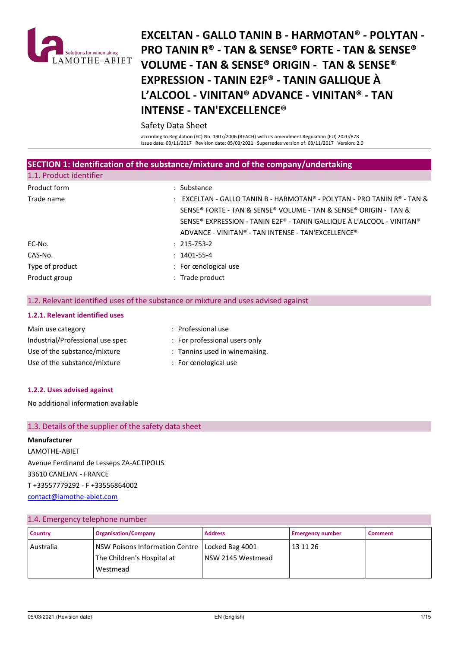

# Safety Data Sheet

according to Regulation (EC) No. 1907/2006 (REACH) with its amendment Regulation (EU) 2020/878 Issue date: 03/11/2017 Revision date: 05/03/2021 Supersedes version of: 03/11/2017 Version: 2.0

|                         | SECTION 1: Identification of the substance/mixture and of the company/undertaking                                                                                                                                                                                            |
|-------------------------|------------------------------------------------------------------------------------------------------------------------------------------------------------------------------------------------------------------------------------------------------------------------------|
| 1.1. Product identifier |                                                                                                                                                                                                                                                                              |
| Product form            | : Substance                                                                                                                                                                                                                                                                  |
| Trade name              | $:$ EXCELTAN - GALLO TANIN B - HARMOTAN® - POLYTAN - PRO TANIN R® - TAN &<br>SENSE® FORTE - TAN & SENSE® VOLUME - TAN & SENSE® ORIGIN - TAN &<br>SENSE® EXPRESSION - TANIN E2F® - TANIN GALLIQUE À L'ALCOOL - VINITAN®<br>ADVANCE - VINITAN® - TAN INTENSE - TAN'EXCELLENCE® |
| EC-No.                  | $: 215 - 753 - 2$                                                                                                                                                                                                                                                            |
| CAS-No.                 | $: 1401 - 55 - 4$                                                                                                                                                                                                                                                            |
| Type of product         | : For œnological use                                                                                                                                                                                                                                                         |
| Product group           | : Trade product                                                                                                                                                                                                                                                              |

### 1.2. Relevant identified uses of the substance or mixture and uses advised against

### **1.2.1. Relevant identified uses**

| Main use category                | : Professional use            |
|----------------------------------|-------------------------------|
| Industrial/Professional use spec | : For professional users only |
| Use of the substance/mixture     | : Tannins used in winemaking. |
| Use of the substance/mixture     | : For œnological use          |

## **1.2.2. Uses advised against**

No additional information available

# 1.3. Details of the supplier of the safety data sheet

### **Manufacturer**

LAMOTHE-ABIET Avenue Ferdinand de Lesseps ZA-ACTIPOLIS 33610 CANEJAN - FRANCE T +33557779292 - F +33556864002 [contact@lamothe-abiet.com](mailto:contact@lamothe-abiet.com)

# 1.4. Emergency telephone number

| <b>E. I. ENTERNATIVE COUPHONG MANUSCHE</b> |                                                  |                   |                         |                |
|--------------------------------------------|--------------------------------------------------|-------------------|-------------------------|----------------|
| <b>Country</b>                             | <b>Organisation/Company</b>                      | <b>Address</b>    | <b>Emergency number</b> | <b>Comment</b> |
| Australia                                  | NSW Poisons Information Centre   Locked Bag 4001 |                   | 13 11 26                |                |
|                                            | The Children's Hospital at                       | NSW 2145 Westmead |                         |                |
|                                            | Westmead                                         |                   |                         |                |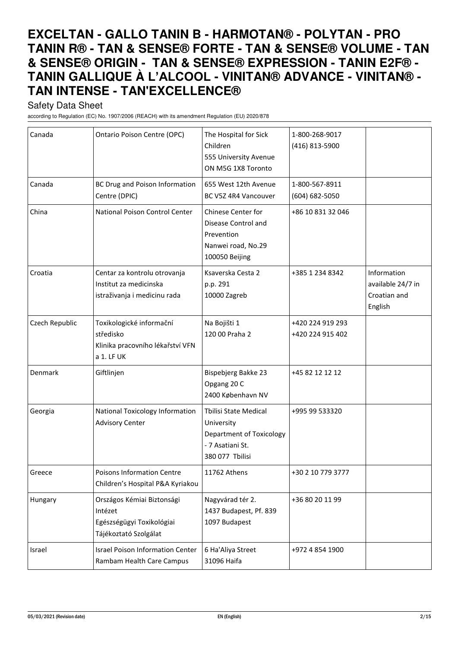# Safety Data Sheet

according to Regulation (EC) No. 1907/2006 (REACH) with its amendment Regulation (EU) 2020/878

| Canada         | <b>Ontario Poison Centre (OPC)</b>                                                          | The Hospital for Sick<br>Children<br>555 University Avenue<br>ON M5G 1X8 Toronto                              | 1-800-268-9017<br>(416) 813-5900     |                                                             |
|----------------|---------------------------------------------------------------------------------------------|---------------------------------------------------------------------------------------------------------------|--------------------------------------|-------------------------------------------------------------|
| Canada         | BC Drug and Poison Information<br>Centre (DPIC)                                             | 655 West 12th Avenue<br>BC V5Z 4R4 Vancouver                                                                  | 1-800-567-8911<br>(604) 682-5050     |                                                             |
| China          | National Poison Control Center                                                              | Chinese Center for<br>Disease Control and<br>Prevention<br>Nanwei road, No.29<br>100050 Beijing               | +86 10 831 32 046                    |                                                             |
| Croatia        | Centar za kontrolu otrovanja<br>Institut za medicinska<br>istraživanja i medicinu rada      | Ksaverska Cesta 2<br>p.p. 291<br>10000 Zagreb                                                                 | +385 1 234 8342                      | Information<br>available 24/7 in<br>Croatian and<br>English |
| Czech Republic | Toxikologické informační<br>středisko<br>Klinika pracovního lékařství VFN<br>a 1. LF UK     | Na Bojišti 1<br>120 00 Praha 2                                                                                | +420 224 919 293<br>+420 224 915 402 |                                                             |
| Denmark        | Giftlinjen                                                                                  | Bispebjerg Bakke 23<br>Opgang 20 C<br>2400 København NV                                                       | +45 82 12 12 12                      |                                                             |
| Georgia        | National Toxicology Information<br><b>Advisory Center</b>                                   | Tbilisi State Medical<br>University<br><b>Department of Toxicology</b><br>- 7 Asatiani St.<br>380 077 Tbilisi | +995 99 533320                       |                                                             |
| Greece         | <b>Poisons Information Centre</b><br>Children's Hospital P&A Kyriakou                       | 11762 Athens                                                                                                  | +30 2 10 779 3777                    |                                                             |
| Hungary        | Országos Kémiai Biztonsági<br>Intézet<br>Egészségügyi Toxikológiai<br>Tájékoztató Szolgálat | Nagyvárad tér 2.<br>1437 Budapest, Pf. 839<br>1097 Budapest                                                   | +36 80 20 11 99                      |                                                             |
| Israel         | <b>Israel Poison Information Center</b><br>Rambam Health Care Campus                        | 6 Ha'Aliya Street<br>31096 Haifa                                                                              | +972 4 854 1900                      |                                                             |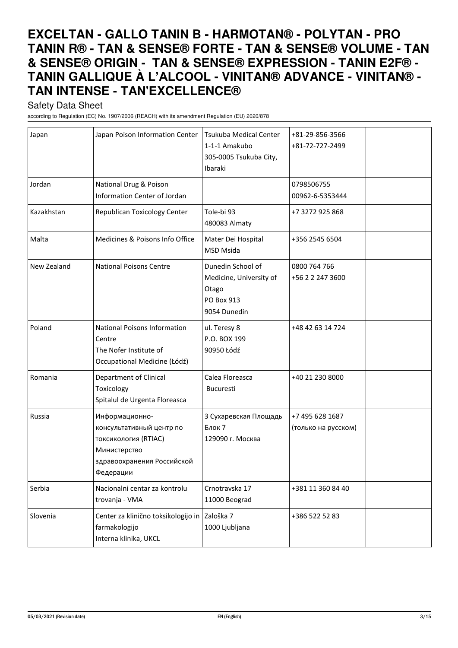# Safety Data Sheet

according to Regulation (EC) No. 1907/2006 (REACH) with its amendment Regulation (EU) 2020/878

| Japan       | Japan Poison Information Center                                                                                               | <b>Tsukuba Medical Center</b><br>1-1-1 Amakubo<br>305-0005 Tsukuba City,<br>Ibaraki | +81-29-856-3566<br>+81-72-727-2499     |  |
|-------------|-------------------------------------------------------------------------------------------------------------------------------|-------------------------------------------------------------------------------------|----------------------------------------|--|
| Jordan      | National Drug & Poison<br>Information Center of Jordan                                                                        |                                                                                     | 0798506755<br>00962-6-5353444          |  |
| Kazakhstan  | Republican Toxicology Center                                                                                                  | Tole-bi 93<br>480083 Almaty                                                         | +7 3272 925 868                        |  |
| Malta       | Medicines & Poisons Info Office                                                                                               | Mater Dei Hospital<br><b>MSD Msida</b>                                              | +356 2545 6504                         |  |
| New Zealand | <b>National Poisons Centre</b>                                                                                                | Dunedin School of<br>Medicine, University of<br>Otago<br>PO Box 913<br>9054 Dunedin | 0800 764 766<br>+56 2 2 247 3600       |  |
| Poland      | National Poisons Information<br>Centre<br>The Nofer Institute of<br>Occupational Medicine (Łódź)                              | ul. Teresy 8<br>P.O. BOX 199<br>90950 Łódź                                          | +48 42 63 14 724                       |  |
| Romania     | Department of Clinical<br>Toxicology<br>Spitalul de Urgenta Floreasca                                                         | Calea Floreasca<br><b>Bucuresti</b>                                                 | +40 21 230 8000                        |  |
| Russia      | Информационно-<br>консультативный центр по<br>токсикология (RTIAC)<br>Министерство<br>здравоохранения Российской<br>Федерации | 3 Сухаревская Площадь<br>Блок 7<br>129090 г. Москва                                 | +7 495 628 1687<br>(только на русском) |  |
| Serbia      | Nacionalni centar za kontrolu<br>trovanja - VMA                                                                               | Crnotravska 17<br>11000 Beograd                                                     | +381 11 360 84 40                      |  |
| Slovenia    | Center za klinično toksikologijo in<br>farmakologijo<br>Interna klinika, UKCL                                                 | Zaloška 7<br>1000 Ljubljana                                                         | +386 522 52 83                         |  |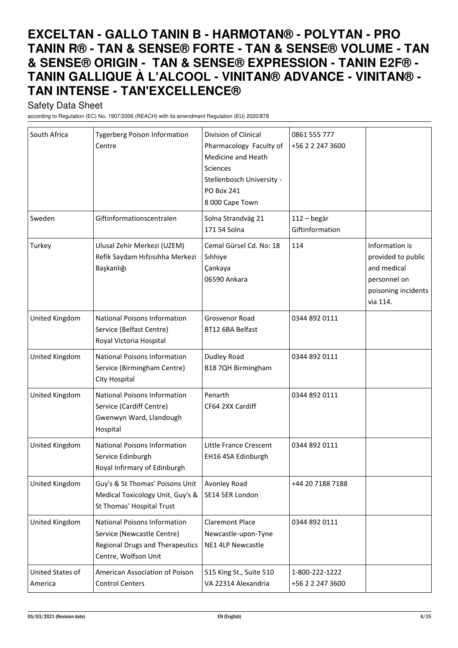# Safety Data Sheet

according to Regulation (EC) No. 1907/2006 (REACH) with its amendment Regulation (EU) 2020/878

| South Africa                | <b>Tygerberg Poison Information</b><br>Centre                                                                                       | Division of Clinical<br>Pharmacology Faculty of<br>Medicine and Heath<br><b>Sciences</b><br>Stellenbosch University -<br><b>PO Box 241</b><br>8 000 Cape Town | 0861 555 777<br>+56 2 2 247 3600   |                                                                                                        |
|-----------------------------|-------------------------------------------------------------------------------------------------------------------------------------|---------------------------------------------------------------------------------------------------------------------------------------------------------------|------------------------------------|--------------------------------------------------------------------------------------------------------|
| Sweden                      | Giftinformationscentralen                                                                                                           | Solna Strandväg 21<br>171 54 Solna                                                                                                                            | 112 - begär<br>Giftinformation     |                                                                                                        |
| Turkey                      | Ulusal Zehir Merkezi (UZEM)<br>Refik Saydam Hıfzısıhha Merkezi<br>Başkanlığı                                                        | Cemal Gürsel Cd. No: 18<br>Sihhiye<br>Çankaya<br>06590 Ankara                                                                                                 | 114                                | Information is<br>provided to public<br>and medical<br>personnel on<br>poisoning incidents<br>via 114. |
| United Kingdom              | <b>National Poisons Information</b><br>Service (Belfast Centre)<br>Royal Victoria Hospital                                          | Grosvenor Road<br>BT12 6BA Belfast                                                                                                                            | 0344 892 0111                      |                                                                                                        |
| United Kingdom              | National Poisons Information<br>Service (Birmingham Centre)<br>City Hospital                                                        | Dudley Road<br>B18 7QH Birmingham                                                                                                                             | 0344 892 0111                      |                                                                                                        |
| United Kingdom              | <b>National Poisons Information</b><br>Service (Cardiff Centre)<br>Gwenwyn Ward, Llandough<br>Hospital                              | Penarth<br>CF64 2XX Cardiff                                                                                                                                   | 0344 892 0111                      |                                                                                                        |
| United Kingdom              | <b>National Poisons Information</b><br>Service Edinburgh<br>Royal Infirmary of Edinburgh                                            | Little France Crescent<br>EH16 4SA Edinburgh                                                                                                                  | 0344 892 0111                      |                                                                                                        |
| United Kingdom              | Guy's & St Thomas' Poisons Unit<br>Medical Toxicology Unit, Guy's &<br>St Thomas' Hospital Trust                                    | Avonley Road<br>SE14 5ER London                                                                                                                               | +44 20 7188 7188                   |                                                                                                        |
| United Kingdom              | <b>National Poisons Information</b><br>Service (Newcastle Centre)<br><b>Regional Drugs and Therapeutics</b><br>Centre, Wolfson Unit | <b>Claremont Place</b><br>Newcastle-upon-Tyne<br>NE1 4LP Newcastle                                                                                            | 0344 892 0111                      |                                                                                                        |
| United States of<br>America | American Association of Poison<br><b>Control Centers</b>                                                                            | 515 King St., Suite 510<br>VA 22314 Alexandria                                                                                                                | 1-800-222-1222<br>+56 2 2 247 3600 |                                                                                                        |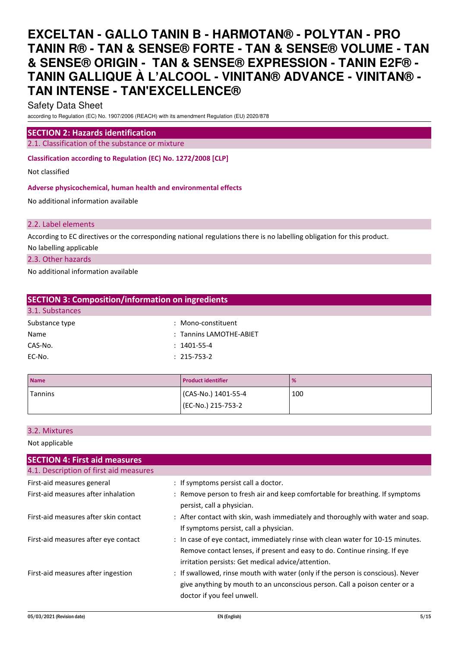# Safety Data Sheet

according to Regulation (EC) No. 1907/2006 (REACH) with its amendment Regulation (EU) 2020/878

# **SECTION 2: Hazards identification**

2.1. Classification of the substance or mixture

# **Classification according to Regulation (EC) No. 1272/2008 [CLP]**

Not classified

### **Adverse physicochemical, human health and environmental effects**

No additional information available

# 2.2. Label elements

According to EC directives or the corresponding national regulations there is no labelling obligation for this product.

No labelling applicable

2.3. Other hazards

No additional information available

| <b>SECTION 3: Composition/information on ingredients</b> |                         |
|----------------------------------------------------------|-------------------------|
| 3.1. Substances                                          |                         |
| Substance type                                           | : Mono-constituent      |
| Name                                                     | : Tannins LAMOTHE-ABIET |
| CAS-No.                                                  | $: 1401 - 55 - 4$       |
| EC-No.                                                   | $: 215 - 753 - 2$       |

| <b>Name</b> | <b>Product identifier</b> | $\%$ |
|-------------|---------------------------|------|
| Tannins     | (CAS-No.) 1401-55-4       | 100  |
|             | (EC-No.) 215-753-2        |      |

# 3.2. Mixtures

### Not applicable

| <b>SECTION 4: First aid measures</b>   |                                                                                                                                                                                                                     |
|----------------------------------------|---------------------------------------------------------------------------------------------------------------------------------------------------------------------------------------------------------------------|
| 4.1. Description of first aid measures |                                                                                                                                                                                                                     |
| First-aid measures general             | : If symptoms persist call a doctor.                                                                                                                                                                                |
| First-aid measures after inhalation    | : Remove person to fresh air and keep comfortable for breathing. If symptoms<br>persist, call a physician.                                                                                                          |
| First-aid measures after skin contact  | : After contact with skin, wash immediately and thoroughly with water and soap.<br>If symptoms persist, call a physician.                                                                                           |
| First-aid measures after eye contact   | : In case of eye contact, immediately rinse with clean water for 10-15 minutes.<br>Remove contact lenses, if present and easy to do. Continue rinsing. If eye<br>irritation persists: Get medical advice/attention. |
| First-aid measures after ingestion     | : If swallowed, rinse mouth with water (only if the person is conscious). Never<br>give anything by mouth to an unconscious person. Call a poison center or a<br>doctor if you feel unwell.                         |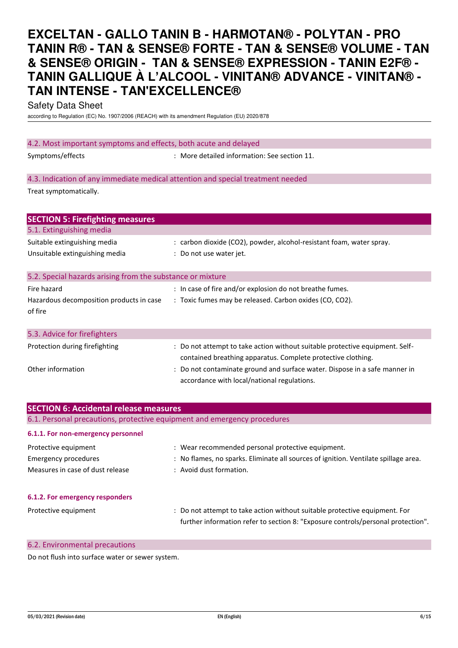Safety Data Sheet

according to Regulation (EC) No. 1907/2006 (REACH) with its amendment Regulation (EU) 2020/878

| 4.2. Most important symptoms and effects, both acute and delayed |                                                                                 |  |
|------------------------------------------------------------------|---------------------------------------------------------------------------------|--|
| Symptoms/effects                                                 | : More detailed information: See section 11.                                    |  |
|                                                                  |                                                                                 |  |
|                                                                  | 4.3. Indication of any immediate medical attention and special treatment needed |  |
| Treat symptomatically.                                           |                                                                                 |  |
|                                                                  |                                                                                 |  |
|                                                                  |                                                                                 |  |
| <b>SECTION 5: Firefighting measures</b>                          |                                                                                 |  |

| 5.1. Extinguishing media                                       |                                                                                                 |
|----------------------------------------------------------------|-------------------------------------------------------------------------------------------------|
| Suitable extinguishing media<br>Unsuitable extinguishing media | : carbon dioxide (CO2), powder, alcohol-resistant foam, water spray.<br>: Do not use water jet. |
|                                                                |                                                                                                 |
| 5.2. Special hazards arising from the substance or mixture     |                                                                                                 |
| Fire hazard                                                    | : In case of fire and/or explosion do not breathe fumes.                                        |
| Hazardous decomposition products in case                       | : Toxic fumes may be released. Carbon oxides (CO, CO2).                                         |
| of fire                                                        |                                                                                                 |
|                                                                |                                                                                                 |
|                                                                |                                                                                                 |

| 5.3. Advice for firefighters   |                                                                              |
|--------------------------------|------------------------------------------------------------------------------|
| Protection during firefighting | : Do not attempt to take action without suitable protective equipment. Self- |
|                                | contained breathing apparatus. Complete protective clothing.                 |
| Other information              | : Do not contaminate ground and surface water. Dispose in a safe manner in   |
|                                | accordance with local/national regulations.                                  |

| <b>SECTION 6: Accidental release measures</b>                            |                                                                                                                                                                |  |
|--------------------------------------------------------------------------|----------------------------------------------------------------------------------------------------------------------------------------------------------------|--|
| 6.1. Personal precautions, protective equipment and emergency procedures |                                                                                                                                                                |  |
| 6.1.1. For non-emergency personnel                                       |                                                                                                                                                                |  |
| Protective equipment                                                     | : Wear recommended personal protective equipment.                                                                                                              |  |
| Emergency procedures                                                     | : No flames, no sparks. Eliminate all sources of ignition. Ventilate spillage area.                                                                            |  |
| Measures in case of dust release                                         | : Avoid dust formation.                                                                                                                                        |  |
| 6.1.2. For emergency responders                                          |                                                                                                                                                                |  |
| Protective equipment                                                     | : Do not attempt to take action without suitable protective equipment. For<br>further information refer to section 8: "Exposure controls/personal protection". |  |

## 6.2. Environmental precautions

Do not flush into surface water or sewer system.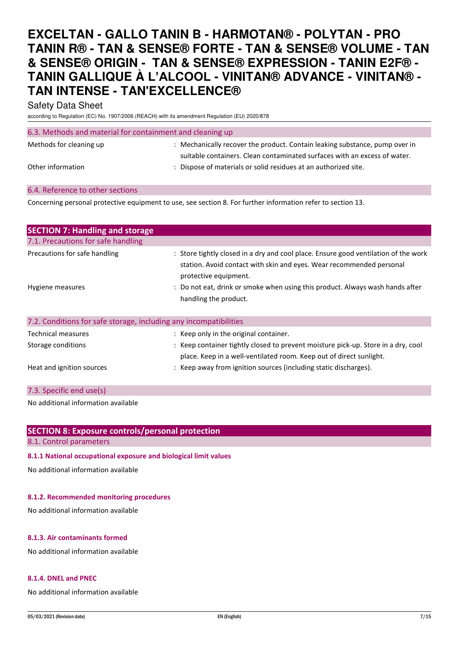### Safety Data Sheet

according to Regulation (EC) No. 1907/2006 (REACH) with its amendment Regulation (EU) 2020/878

| 6.3. Methods and material for containment and cleaning up |                                                                             |  |
|-----------------------------------------------------------|-----------------------------------------------------------------------------|--|
| Methods for cleaning up                                   | : Mechanically recover the product. Contain leaking substance, pump over in |  |
|                                                           | suitable containers. Clean contaminated surfaces with an excess of water.   |  |
| Other information                                         | : Dispose of materials or solid residues at an authorized site.             |  |

### 6.4. Reference to other sections

Concerning personal protective equipment to use, see section 8. For further information refer to section 13.

| <b>SECTION 7: Handling and storage</b>                            |                                                                                                                                                                                                                                                                                                |
|-------------------------------------------------------------------|------------------------------------------------------------------------------------------------------------------------------------------------------------------------------------------------------------------------------------------------------------------------------------------------|
| 7.1. Precautions for safe handling                                |                                                                                                                                                                                                                                                                                                |
| Precautions for safe handling<br>Hygiene measures                 | : Store tightly closed in a dry and cool place. Ensure good ventilation of the work<br>station. Avoid contact with skin and eyes. Wear recommended personal<br>protective equipment.<br>: Do not eat, drink or smoke when using this product. Always wash hands after<br>handling the product. |
| 7.2. Conditions for safe storage, including any incompatibilities |                                                                                                                                                                                                                                                                                                |
| <b>Technical measures</b>                                         | : Keep only in the original container.                                                                                                                                                                                                                                                         |
| Storage conditions                                                | : Keep container tightly closed to prevent moisture pick-up. Store in a dry, cool<br>place. Keep in a well-ventilated room. Keep out of direct sunlight.                                                                                                                                       |
| Heat and ignition sources                                         | : Keep away from ignition sources (including static discharges).                                                                                                                                                                                                                               |

| 7.3. Specific end use(s) |
|--------------------------|
|--------------------------|

No additional information available

# **SECTION 8: Exposure controls/personal protection**

# 8.1. Control parameters

# **8.1.1 National occupational exposure and biological limit values**

No additional information available

# **8.1.2. Recommended monitoring procedures**

No additional information available

# **8.1.3. Air contaminants formed**

No additional information available

# **8.1.4. DNEL and PNEC**

No additional information available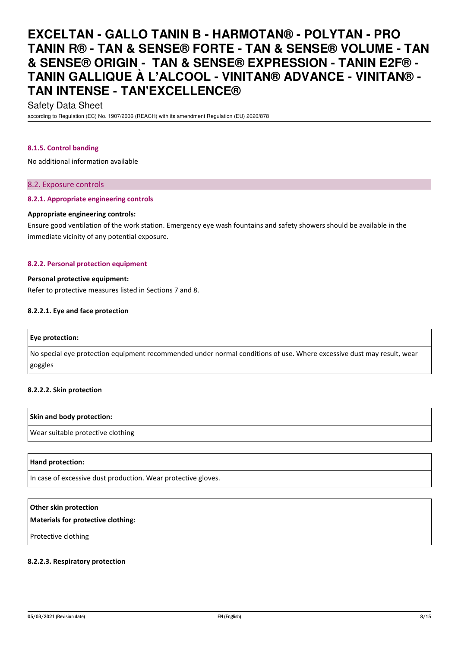# Safety Data Sheet

according to Regulation (EC) No. 1907/2006 (REACH) with its amendment Regulation (EU) 2020/878

### **8.1.5. Control banding**

No additional information available

### 8.2. Exposure controls

### **8.2.1. Appropriate engineering controls**

## **Appropriate engineering controls:**

Ensure good ventilation of the work station. Emergency eye wash fountains and safety showers should be available in the immediate vicinity of any potential exposure.

### **8.2.2. Personal protection equipment**

### **Personal protective equipment:**

Refer to protective measures listed in Sections 7 and 8.

### **8.2.2.1. Eye and face protection**

#### **Eye protection:**

No special eye protection equipment recommended under normal conditions of use. Where excessive dust may result, wear goggles

### **8.2.2.2. Skin protection**

# **Skin and body protection:**

Wear suitable protective clothing

### **Hand protection:**

In case of excessive dust production. Wear protective gloves.

### **Other skin protection**

### **Materials for protective clothing:**

Protective clothing

### **8.2.2.3. Respiratory protection**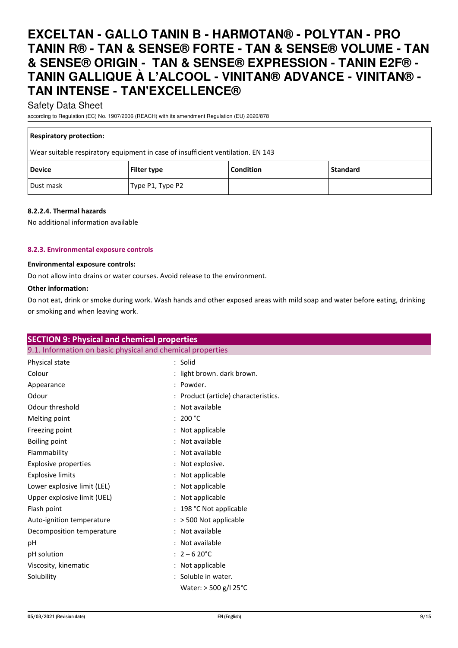# Safety Data Sheet

according to Regulation (EC) No. 1907/2006 (REACH) with its amendment Regulation (EU) 2020/878

| <b>Respiratory protection:</b>                                                  |                    |           |                 |
|---------------------------------------------------------------------------------|--------------------|-----------|-----------------|
| Wear suitable respiratory equipment in case of insufficient ventilation. EN 143 |                    |           |                 |
| <b>Device</b>                                                                   | <b>Filter type</b> | Condition | <b>Standard</b> |
| Dust mask                                                                       | Type P1, Type P2   |           |                 |

### **8.2.2.4. Thermal hazards**

No additional information available

### **8.2.3. Environmental exposure controls**

### **Environmental exposure controls:**

Do not allow into drains or water courses. Avoid release to the environment.

### **Other information:**

Do not eat, drink or smoke during work. Wash hands and other exposed areas with mild soap and water before eating, drinking or smoking and when leaving work.

| <b>SECTION 9: Physical and chemical properties</b>         |                                      |
|------------------------------------------------------------|--------------------------------------|
| 9.1. Information on basic physical and chemical properties |                                      |
| Physical state                                             | : Solid                              |
| Colour                                                     | : light brown. dark brown.           |
| Appearance                                                 | : Powder.                            |
| Odour                                                      | : Product (article) characteristics. |
| Odour threshold                                            | : Not available                      |
| Melting point                                              | : 200 °C                             |
| Freezing point                                             | : Not applicable                     |
| <b>Boiling point</b>                                       | : Not available                      |
| Flammability                                               | : Not available                      |
| <b>Explosive properties</b>                                | : Not explosive.                     |
| <b>Explosive limits</b>                                    | : Not applicable                     |
| Lower explosive limit (LEL)                                | : Not applicable                     |
| Upper explosive limit (UEL)                                | : Not applicable                     |
| Flash point                                                | : 198 °C Not applicable              |
| Auto-ignition temperature                                  | $:$ > 500 Not applicable             |
| Decomposition temperature                                  | : Not available                      |
| рH                                                         | : Not available                      |
| pH solution                                                | $: 2 - 620^{\circ}C$                 |
| Viscosity, kinematic                                       | : Not applicable                     |
| Solubility                                                 | : Soluble in water.                  |
|                                                            | Water: $>$ 500 g/l 25 $^{\circ}$ C   |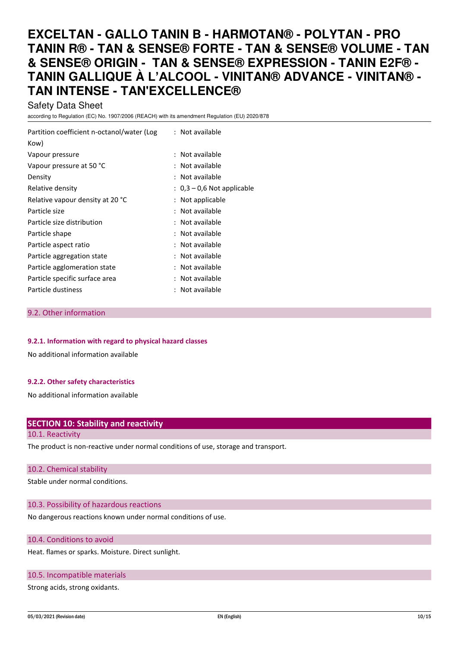# Safety Data Sheet

according to Regulation (EC) No. 1907/2006 (REACH) with its amendment Regulation (EU) 2020/878

| Partition coefficient n-octanol/water (Log | : Not available              |
|--------------------------------------------|------------------------------|
| Kow)                                       |                              |
| Vapour pressure                            | : Not available              |
| Vapour pressure at 50 °C                   | : Not available              |
| Density                                    | : Not available              |
| Relative density                           | $: 0.3 - 0.6$ Not applicable |
| Relative vapour density at 20 °C           | : Not applicable             |
| Particle size                              | : Not available              |
| Particle size distribution                 | : Not available              |
| Particle shape                             | : Not available              |
| Particle aspect ratio                      | : Not available              |
| Particle aggregation state                 | : Not available              |
| Particle agglomeration state               | : Not available              |
| Particle specific surface area             | : Not available              |
| Particle dustiness                         | : Not available              |

# 9.2. Other information

### **9.2.1. Information with regard to physical hazard classes**

No additional information available

### **9.2.2. Other safety characteristics**

No additional information available

# **SECTION 10: Stability and reactivity**

### 10.1. Reactivity

The product is non-reactive under normal conditions of use, storage and transport.

### 10.2. Chemical stability

Stable under normal conditions.

### 10.3. Possibility of hazardous reactions

No dangerous reactions known under normal conditions of use.

### 10.4. Conditions to avoid

Heat. flames or sparks. Moisture. Direct sunlight.

### 10.5. Incompatible materials

Strong acids, strong oxidants.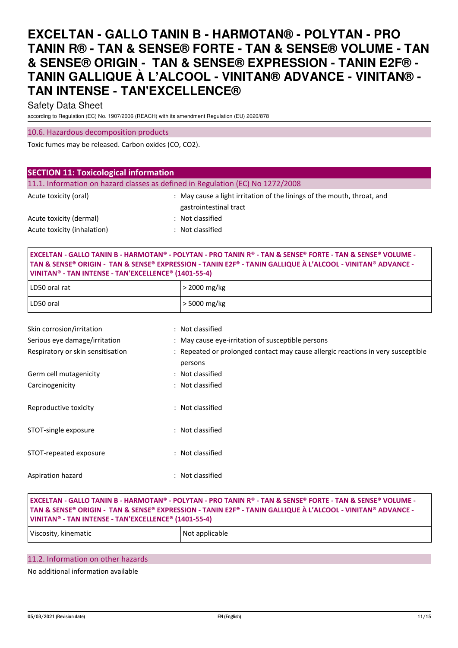# Safety Data Sheet

according to Regulation (EC) No. 1907/2006 (REACH) with its amendment Regulation (EU) 2020/878

### 10.6. Hazardous decomposition products

Toxic fumes may be released. Carbon oxides (CO, CO2).

| <b>SECTION 11: Toxicological information</b> |                                                                                                   |  |
|----------------------------------------------|---------------------------------------------------------------------------------------------------|--|
|                                              | 11.1. Information on hazard classes as defined in Regulation (EC) No 1272/2008                    |  |
| Acute toxicity (oral)                        | : May cause a light irritation of the linings of the mouth, throat, and<br>gastrointestinal tract |  |
| Acute toxicity (dermal)                      | : Not classified                                                                                  |  |
| Acute toxicity (inhalation)                  | : Not classified                                                                                  |  |

**EXCELTAN - GALLO TANIN B - HARMOTAN® - POLYTAN - PRO TANIN R® - TAN & SENSE® FORTE - TAN & SENSE® VOLUME - TAN & SENSE® ORIGIN - TAN & SENSE® EXPRESSION - TANIN E2F® - TANIN GALLIQUE À L'ALCOOL - VINITAN® ADVANCE - VINITAN® - TAN INTENSE - TAN'EXCELLENCE® (1401-55-4)**

| LD50 oral rat | > 2000 mg/kg |
|---------------|--------------|
| LD50 oral     | > 5000 mg/kg |

| Skin corrosion/irritation         | : Not classified                                                                            |
|-----------------------------------|---------------------------------------------------------------------------------------------|
| Serious eye damage/irritation     | : May cause eye-irritation of susceptible persons                                           |
| Respiratory or skin sensitisation | : Repeated or prolonged contact may cause allergic reactions in very susceptible<br>persons |
| Germ cell mutagenicity            | : Not classified                                                                            |
| Carcinogenicity                   | : Not classified                                                                            |
| Reproductive toxicity             | : Not classified                                                                            |
| STOT-single exposure              | : Not classified                                                                            |
| STOT-repeated exposure            | : Not classified                                                                            |
| Aspiration hazard                 | : Not classified                                                                            |

# **EXCELTAN - GALLO TANIN B - HARMOTAN® - POLYTAN - PRO TANIN R® - TAN & SENSE® FORTE - TAN & SENSE® VOLUME - TAN & SENSE® ORIGIN - TAN & SENSE® EXPRESSION - TANIN E2F® - TANIN GALLIQUE À L'ALCOOL - VINITAN® ADVANCE - VINITAN® - TAN INTENSE - TAN'EXCELLENCE® (1401-55-4)** Viscosity, kinematic Not applicable

# 11.2. Information on other hazards

# No additional information available

05/03/2021 (Revision date) EN (English) 11/15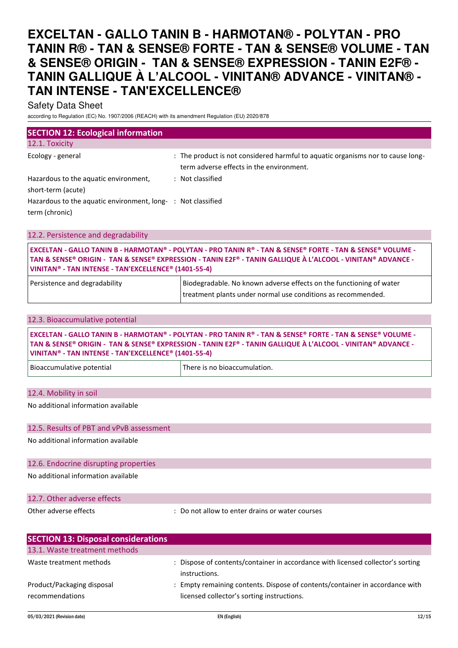# Safety Data Sheet

according to Regulation (EC) No. 1907/2006 (REACH) with its amendment Regulation (EU) 2020/878

| <b>SECTION 12: Ecological information</b>                                      |                                                                                                                             |
|--------------------------------------------------------------------------------|-----------------------------------------------------------------------------------------------------------------------------|
| 12.1. Toxicity                                                                 |                                                                                                                             |
| Ecology - general                                                              | : The product is not considered harmful to aquatic organisms nor to cause long-<br>term adverse effects in the environment. |
| Hazardous to the aquatic environment,<br>short-term (acute)                    | : Not classified                                                                                                            |
| Hazardous to the aquatic environment, long- : Not classified<br>term (chronic) |                                                                                                                             |

### 12.2. Persistence and degradability

**EXCELTAN - GALLO TANIN B - HARMOTAN® - POLYTAN - PRO TANIN R® - TAN & SENSE® FORTE - TAN & SENSE® VOLUME - TAN & SENSE® ORIGIN - TAN & SENSE® EXPRESSION - TANIN E2F® - TANIN GALLIQUE À L'ALCOOL - VINITAN® ADVANCE - VINITAN® - TAN INTENSE - TAN'EXCELLENCE® (1401-55-4)**

| Persistence and degradability | Biodegradable. No known adverse effects on the functioning of water |
|-------------------------------|---------------------------------------------------------------------|
|                               | treatment plants under normal use conditions as recommended.        |

### 12.3. Bioaccumulative potential

**EXCELTAN - GALLO TANIN B - HARMOTAN® - POLYTAN - PRO TANIN R® - TAN & SENSE® FORTE - TAN & SENSE® VOLUME - TAN & SENSE® ORIGIN - TAN & SENSE® EXPRESSION - TANIN E2F® - TANIN GALLIQUE À L'ALCOOL - VINITAN® ADVANCE - VINITAN® - TAN INTENSE - TAN'EXCELLENCE® (1401-55-4)** Bioaccumulative potential There is no bioaccumulation.

### 12.4. Mobility in soil

No additional information available

## 12.5. Results of PBT and vPvB assessment

No additional information available

### 12.6. Endocrine disrupting properties

No additional information available

| $\sim$ $\sim$ $\sim$ $\sim$ $\sim$ $\sim$ $\sim$ |  |
|--------------------------------------------------|--|
| 12.7. Other adverse effects                      |  |

Other adverse effects in the state of the courses in the courses of the courses of the courses of the courses

| <b>SECTION 13: Disposal considerations</b>    |                                                                                                                            |
|-----------------------------------------------|----------------------------------------------------------------------------------------------------------------------------|
| 13.1. Waste treatment methods                 |                                                                                                                            |
| Waste treatment methods                       | : Dispose of contents/container in accordance with licensed collector's sorting<br>instructions.                           |
| Product/Packaging disposal<br>recommendations | : Empty remaining contents. Dispose of contents/container in accordance with<br>licensed collector's sorting instructions. |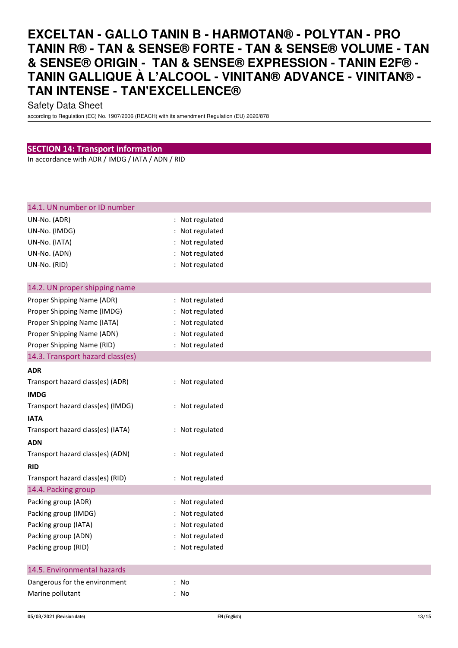# Safety Data Sheet

according to Regulation (EC) No. 1907/2006 (REACH) with its amendment Regulation (EU) 2020/878

# **SECTION 14: Transport information**

In accordance with ADR / IMDG / IATA / ADN / RID

| 14.1. UN number or ID number      |                                 |
|-----------------------------------|---------------------------------|
| UN-No. (ADR)                      | : Not regulated                 |
| UN-No. (IMDG)                     | Not regulated<br>÷              |
| UN-No. (IATA)                     | : Not regulated                 |
| UN-No. (ADN)                      | Not regulated                   |
| UN-No. (RID)                      | Not regulated                   |
|                                   |                                 |
| 14.2. UN proper shipping name     |                                 |
| Proper Shipping Name (ADR)        | : Not regulated                 |
| Proper Shipping Name (IMDG)       | : Not regulated                 |
| Proper Shipping Name (IATA)       | : Not regulated                 |
| Proper Shipping Name (ADN)        | Not regulated<br>$\ddot{\cdot}$ |
| Proper Shipping Name (RID)        | : Not regulated                 |
| 14.3. Transport hazard class(es)  |                                 |
| <b>ADR</b>                        |                                 |
| Transport hazard class(es) (ADR)  | : Not regulated                 |
| <b>IMDG</b>                       |                                 |
| Transport hazard class(es) (IMDG) | : Not regulated                 |
| <b>IATA</b>                       |                                 |
| Transport hazard class(es) (IATA) | : Not regulated                 |
| <b>ADN</b>                        |                                 |
| Transport hazard class(es) (ADN)  | : Not regulated                 |
| <b>RID</b>                        |                                 |
| Transport hazard class(es) (RID)  | : Not regulated                 |
| 14.4. Packing group               |                                 |
| Packing group (ADR)               | : Not regulated                 |
| Packing group (IMDG)              | Not regulated                   |
| Packing group (IATA)              | Not regulated                   |
| Packing group (ADN)               | Not regulated                   |
| Packing group (RID)               | : Not regulated                 |
|                                   |                                 |
| 14.5. Environmental hazards       |                                 |
| Dangerous for the environment     | : No                            |
| Marine pollutant                  | : No                            |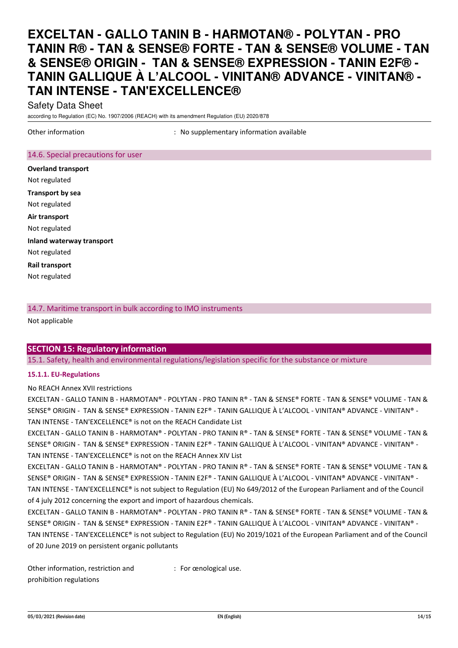# Safety Data Sheet

according to Regulation (EC) No. 1907/2006 (REACH) with its amendment Regulation (EU) 2020/878

Other information **intervalse in the supplementary information** available

## 14.6. Special precautions for user

**Overland transport**  Not regulated **Transport by sea**  Not regulated **Air transport**  Not regulated **Inland waterway transport**  Not regulated **Rail transport**  Not regulated

# 14.7. Maritime transport in bulk according to IMO instruments

Not applicable

# **SECTION 15: Regulatory information**

15.1. Safety, health and environmental regulations/legislation specific for the substance or mixture

## **15.1.1. EU-Regulations**

No REACH Annex XVII restrictions

EXCELTAN - GALLO TANIN B - HARMOTAN® - POLYTAN - PRO TANIN R® - TAN & SENSE® FORTE - TAN & SENSE® VOLUME - TAN & SENSE® ORIGIN - TAN & SENSE® EXPRESSION - TANIN E2F® - TANIN GALLIQUE À L'ALCOOL - VINITAN® ADVANCE - VINITAN® - TAN INTENSE - TAN'EXCELLENCE® is not on the REACH Candidate List

EXCELTAN - GALLO TANIN B - HARMOTAN® - POLYTAN - PRO TANIN R® - TAN & SENSE® FORTE - TAN & SENSE® VOLUME - TAN & SENSE® ORIGIN - TAN & SENSE® EXPRESSION - TANIN E2F® - TANIN GALLIQUE À L'ALCOOL - VINITAN® ADVANCE - VINITAN® - TAN INTENSE - TAN'EXCELLENCE® is not on the REACH Annex XIV List

EXCELTAN - GALLO TANIN B - HARMOTAN® - POLYTAN - PRO TANIN R® - TAN & SENSE® FORTE - TAN & SENSE® VOLUME - TAN & SENSE® ORIGIN - TAN & SENSE® EXPRESSION - TANIN E2F® - TANIN GALLIQUE À L'ALCOOL - VINITAN® ADVANCE - VINITAN® - TAN INTENSE - TAN'EXCELLENCE® is not subject to Regulation (EU) No 649/2012 of the European Parliament and of the Council of 4 july 2012 concerning the export and import of hazardous chemicals.

EXCELTAN - GALLO TANIN B - HARMOTAN® - POLYTAN - PRO TANIN R® - TAN & SENSE® FORTE - TAN & SENSE® VOLUME - TAN & SENSE® ORIGIN - TAN & SENSE® EXPRESSION - TANIN E2F® - TANIN GALLIQUE À L'ALCOOL - VINITAN® ADVANCE - VINITAN® - TAN INTENSE - TAN'EXCELLENCE® is not subject to Regulation (EU) No 2019/1021 of the European Parliament and of the Council of 20 June 2019 on persistent organic pollutants

Other information, restriction and prohibition regulations : For œnological use.